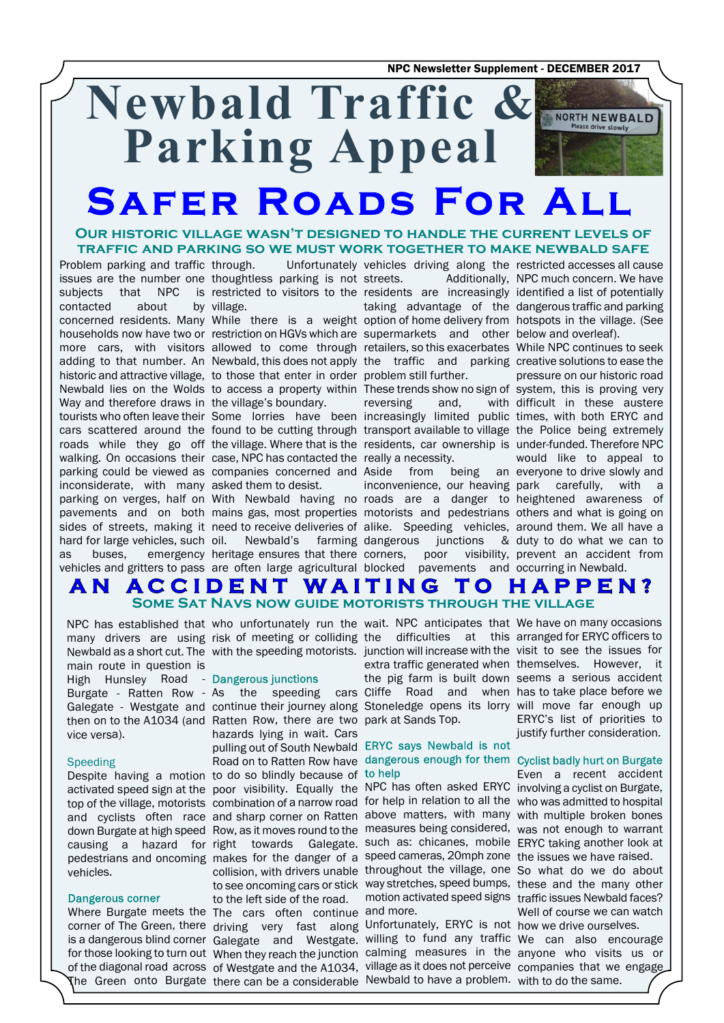NPC Newsletter Supplement - DECEMBER 2017

# **Newbald Traffic &** NORTH NEWBALD **Parking Appeal Safer Roads For All**

### **Our historic village wasn't designed to handle the current levels of traffic and parking so we must work together to make newbald safe**

Problem parking and traffic contacted about Way and therefore draws in the village's boundary. inconsiderate, with many asked them to desist. as buses, emergency vehicles and gritters to pass

issues are the number one thoughtless parking is not subjects that NPC is restricted to visitors to the residents are increasingly identified a list of potentially through. Unfortunately vehicles driving along the restricted accesses all cause by village.

concerned residents. Many While there is a weight option of home delivery from hotspots in the village. (See households now have two or restriction on HGVs which are supermarkets and other below and overleaf). more cars, with visitors allowed to come through retailers, so this exacerbates While NPC continues to seek adding to that number. An Newbald, this does not apply the traffic and parking creative solutions to ease the historic and attractive village, to those that enter in order problem still further. Newbald lies on the Wolds to access a property within These trends show no sign of system, this is proving very

tourists who often leave their Some lorries have been increasingly limited public times, with both ERYC and cars scattered around the found to be cutting through transport available to village the Police being extremely roads while they go off the village. Where that is the residents, car ownership is under-funded. Therefore NPC walking. On occasions their case, NPC has contacted the really a necessity. parking could be viewed as companies concerned and Aside from being an everyone to drive slowly and

parking on verges, half on With Newbald having no roads are a danger to heightened awareness of pavements and on both mains gas, most properties motorists and pedestrians others and what is going on sides of streets, making it need to receive deliveries of alike. Speeding vehicles, around them. We all have a hard for large vehicles, such oil. Newbald's farming dangerous junctions & duty to do what we can to heritage ensures that there are often large agricultural

streets. Additionally, NPC much concern. We have taking advantage of the dangerous traffic and parking

reversing and,

corners, poor visibility, blocked pavements and

inconvenience, our heaving park carefully, with a pressure on our historic road with difficult in these austere would like to appeal to prevent an accident from occurring in Newbald.

### **ACCIDENT WAITING TO HAPPEN?** A N **Some Sat Navs now guide motorists through the village**

main route in question is High Hunsley Road - Dangerous junctions vice versa).

### Speeding

vehicles.

### Dangerous corner

many drivers are using risk of meeting or colliding the difficulties at this arranged for ERYC officers to Newbald as a short cut. The with the speeding motorists. junction will increase with the visit to see the issues for

Burgate - Ratten Row - As the speeding cars Cliffe Road and when has to take place before we Galegate - Westgate and continue their journey along Stoneledge opens its lorry will move far enough up then on to the A1034 (and Ratten Row, there are two park at Sands Top. Despite having a motion to do so blindly because of activated speed sign at the poor visibility. Equally the NPC has often asked ERYC involving a cyclist on Burgate, top of the village, motorists combination of a narrow road for help in relation to all the who was admitted to hospital and cyclists often race and sharp corner on Ratten above matters, with many with multiple broken bones down Burgate at high speed Row, as it moves round to the measures being considered,was not enough to warrant causing a hazard for right towards Galegate. Such as: chicanes, mobile ERYC taking another look at pedestrians and oncoming makes for the danger of a speed cameras, 20mph zone the issues we have raised. Where Burgate meets the The cars often continue and more. hazards lying in wait. Cars pulling out of South Newbald ERYC says Newbald is not collision, with drivers unable throughout the village, one So what do we do about to see oncoming cars or stick way stretches, speed bumps, these and the many other to the left side of the road. motion activated speed signs traffic issues Newbald faces?

corner of The Green, there driving very fast along Unfortunately, ERYC is not how we drive ourselves. is a dangerous blind corner Galegate and Westgate. willing to fund any traffic We can also encourage for those looking to turn out When they reach the junction calming measures in the anyone who visits us or of the diagonal road across of Westgate and the A1034, village as it does not perceive companies that we engage The Green onto Burgate there can be a considerable Newbald to have a problem. with to do the same.

NPC has established that who unfortunately run the wait. NPC anticipates that We have on many occasions extra traffic generated when themselves. However, it the pig farm is built down seems a serious accident

# Road on to Ratten Row have dangerous enough for them Cyclist badly hurt on Burgate

ERYC's list of priorities to justify further consideration.

Even a recent accident Well of course we can watch